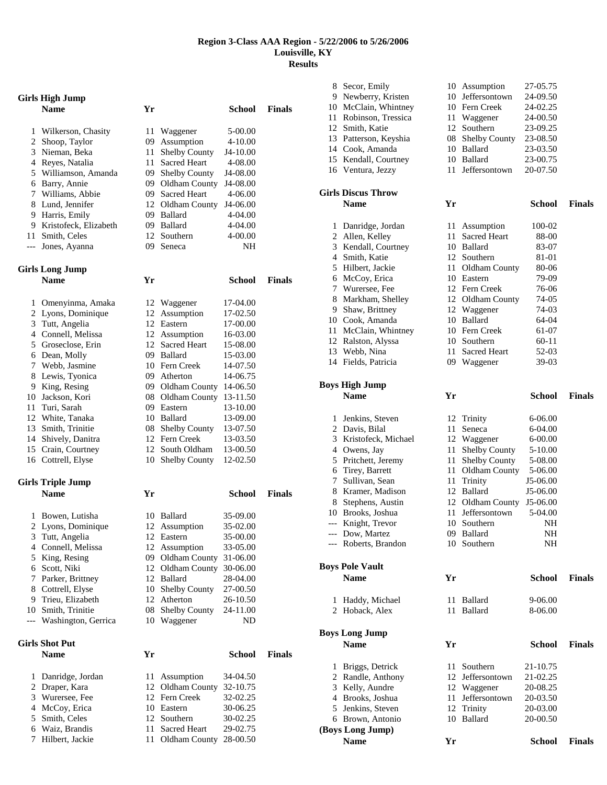## **Region 3-Class AAA Region - 5/22/2006 to 5/26/2006 Louisville, KY Results**

|       | Girls High Jump          |     |                      |               |               |
|-------|--------------------------|-----|----------------------|---------------|---------------|
|       | <b>Name</b>              | Yr  |                      | <b>School</b> | <b>Finals</b> |
| 1     | Wilkerson, Chasity       | 11  | Waggener             | 5-00.00       |               |
| 2     | Shoop, Taylor            | 09  | Assumption           | 4-10.00       |               |
| 3     | Nieman, Beka             | 11  | <b>Shelby County</b> | J4-10.00      |               |
|       | 4 Reyes, Natalia         | 11  | Sacred Heart         | 4-08.00       |               |
| 5     | Williamson, Amanda       | 09  | Shelby County        | J4-08.00      |               |
| 6     | Barry, Annie             | 09  | Oldham County        | J4-08.00      |               |
| 7     | Williams, Abbie          | 09- | <b>Sacred Heart</b>  | 4-06.00       |               |
|       | 8 Lund, Jennifer         |     | 12 Oldham County     | J4-06.00      |               |
|       | 9 Harris, Emily          |     | 09 Ballard           | 4-04.00       |               |
|       | 9 Kristofeck, Elizabeth  |     | 09 Ballard           | 4-04.00       |               |
| 11    | Smith, Celes             | 12  | Southern             | 4-00.00       |               |
| $---$ | Jones, Ayanna            | 09  | Seneca               | NΗ            |               |
|       | <b>Girls Long Jump</b>   |     |                      |               |               |
|       | <b>Name</b>              | Yr  |                      | School        | <b>Finals</b> |
| 1     | Omenyinma, Amaka         | 12  | Waggener             | 17-04.00      |               |
| 2     | Lyons, Dominique         | 12  | Assumption           | 17-02.50      |               |
|       | 3 Tutt, Angelia          |     | 12 Eastern           | 17-00.00      |               |
|       | 4 Connell, Melissa       |     | 12 Assumption        | 16-03.00      |               |
| 5     | Groseclose, Erin         |     | 12 Sacred Heart      | 15-08.00      |               |
|       | 6 Dean, Molly            |     | 09 Ballard           | 15-03.00      |               |
| 7     | Webb, Jasmine            |     | 10 Fern Creek        | 14-07.50      |               |
| 8     | Lewis, Tyonica           |     | 09 Atherton          | 14-06.75      |               |
| 9     | King, Resing             |     | 09 Oldham County     | 14-06.50      |               |
| 10    | Jackson, Kori            | 08  | Oldham County        | 13-11.50      |               |
| 11    | Turi, Sarah              |     | 09 Eastern           | 13-10.00      |               |
| 12    | White, Tanaka            |     | 10 Ballard           | 13-09.00      |               |
| 13    | Smith, Trinitie          |     | 08 Shelby County     | 13-07.50      |               |
| 14    | Shively, Danitra         |     | 12 Fern Creek        | 13-03.50      |               |
|       | 15 Crain, Courtney       |     | 12 South Oldham      | 13-00.50      |               |
|       | 16 Cottrell, Elyse       | 10  | <b>Shelby County</b> | 12-02.50      |               |
|       | <b>Girls Triple Jump</b> |     |                      |               |               |
|       | <b>Name</b>              | Yr  |                      | School        | <b>Finals</b> |
| 1     | Bowen, Lutisha           |     | 10 Ballard           | 35-09.00      |               |
|       | 2 Lyons, Dominique       |     | 12 Assumption        | 35-02.00      |               |
|       | 3 Tutt, Angelia          |     | 12 Eastern           | 35-00.00      |               |
| 4     | Connell, Melissa         |     | 12 Assumption        | 33-05.00      |               |
| 5     | King, Resing             | 09  | Oldham County        | 31-06.00      |               |
| 6     | Scott, Niki              |     | 12 Oldham County     | 30-06.00      |               |
| 7     | Parker, Brittney         |     | 12 Ballard           | 28-04.00      |               |
| 8     | Cottrell, Elyse          |     | 10 Shelby County     | 27-00.50      |               |
| 9     | Trieu, Elizabeth         |     | 12 Atherton          | 26-10.50      |               |
|       | 10 Smith, Trinitie       | 08  | <b>Shelby County</b> | 24-11.00      |               |
| ---   | Washington, Gerrica      | 10  | Waggener             | ND            |               |
|       | Girls Shot Put           |     |                      |               |               |
|       | <b>Name</b>              | Yr  |                      | <b>School</b> | <b>Finals</b> |
| 1     | Danridge, Jordan         | 11  | Assumption           | 34-04.50      |               |
| 2     | Draper, Kara             | 12  | Oldham County        | 32-10.75      |               |
| 3     | Wurersee, Fee            |     | 12 Fern Creek        | 32-02.25      |               |
| 4     | McCoy, Erica             |     | 10 Eastern           | 30-06.25      |               |
| 5     | Smith, Celes             |     | 12 Southern          | 30-02.25      |               |
| 6     | Waiz, Brandis            | 11  | <b>Sacred Heart</b>  | 29-02.75      |               |
| 7     | Hilbert, Jackie          | 11  | Oldham County        | 28-00.50      |               |

|              | 8 Secor, Emily                  |    | 10 Assumption        | 27-05.75      |               |
|--------------|---------------------------------|----|----------------------|---------------|---------------|
|              | 9 Newberry, Kristen             |    | 10 Jeffersontown     | 24-09.50      |               |
|              | 10 McClain, Whintney            |    | 10 Fern Creek        | 24-02.25      |               |
|              | 11 Robinson, Tressica           | 11 | Waggener             | 24-00.50      |               |
|              | 12 Smith, Katie                 |    | 12 Southern          | 23-09.25      |               |
|              | 13 Patterson, Keyshia           | 08 | <b>Shelby County</b> | 23-08.50      |               |
|              | 14 Cook, Amanda                 | 10 | Ballard              | 23-03.50      |               |
|              | 15 Kendall, Courtney            |    | 10 Ballard           | 23-00.75      |               |
|              | 16 Ventura, Jezzy               | 11 | Jeffersontown        | 20-07.50      |               |
|              |                                 |    |                      |               |               |
|              | <b>Girls Discus Throw</b>       |    |                      |               |               |
|              | <b>Name</b>                     | Yr |                      | School        | <b>Finals</b> |
|              |                                 |    |                      |               |               |
|              | 1 Danridge, Jordan              | 11 | Assumption           | 100-02        |               |
|              | 2 Allen, Kelley                 | 11 | <b>Sacred Heart</b>  | 88-00         |               |
|              | 3 Kendall, Courtney             |    | 10 Ballard           | 83-07         |               |
|              | 4 Smith, Katie                  |    | 12 Southern          | 81-01         |               |
|              | 5 Hilbert, Jackie               |    | 11 Oldham County     | 80-06         |               |
|              | 6 McCoy, Erica                  |    | 10 Eastern           | 79-09         |               |
|              | 7 Wurersee, Fee                 |    | 12 Fern Creek        | 76-06         |               |
|              | 8 Markham, Shelley              |    | 12 Oldham County     | 74-05         |               |
|              | 9 Shaw, Brittney                |    | 12 Waggener          | 74-03         |               |
|              | 10 Cook, Amanda                 |    | 10 Ballard           | 64-04         |               |
|              | 11 McClain, Whintney            |    | 10 Fern Creek        | 61-07         |               |
|              | 12 Ralston, Alyssa              |    | 10 Southern          | 60-11         |               |
|              | 13 Webb, Nina                   | 11 | <b>Sacred Heart</b>  | 52-03         |               |
|              | 14 Fields, Patricia             |    | 09 Waggener          | 39-03         |               |
|              |                                 |    |                      |               |               |
|              | <b>Boys High Jump</b>           |    |                      |               |               |
|              | <b>Name</b>                     | Yr |                      | <b>School</b> | <b>Finals</b> |
|              |                                 |    |                      |               |               |
|              |                                 |    |                      |               |               |
| $\mathbf{1}$ | Jenkins, Steven                 | 12 | Trinity              | 6-06.00       |               |
|              | 2 Davis, Bilal                  | 11 | Seneca               | 6-04.00       |               |
|              | 3 Kristofeck, Michael           | 12 | Waggener             | $6 - 00.00$   |               |
|              | 4 Owens, Jay                    | 11 | Shelby County        | 5-10.00       |               |
|              | 5 Pritchett, Jeremy             | 11 | Shelby County        | 5-08.00       |               |
|              | 6 Tirey, Barrett                | 11 | Oldham County        | 5-06.00       |               |
|              | 7 Sullivan, Sean                | 11 | Trinity              | J5-06.00      |               |
|              | 8 Kramer, Madison               |    | 12 Ballard           | J5-06.00      |               |
|              | 8 Stephens, Austin              |    | 12 Oldham County     | $J5-06.00$    |               |
|              | 10 Brooks, Joshua               | 11 | Jeffersontown        | 5-04.00       |               |
| ---          | Knight, Trevor                  |    | 10 Southern          | NΗ            |               |
|              | --- Dow, Martez                 |    | 09 Ballard           | NH            |               |
|              | --- Roberts, Brandon            |    | 10 Southern          | NΗ            |               |
|              |                                 |    |                      |               |               |
|              | <b>Boys Pole Vault</b>          |    |                      |               |               |
|              | <b>Name</b>                     | Yr |                      | <b>School</b> | <b>Finals</b> |
|              |                                 |    |                      |               |               |
| 1            | Haddy, Michael                  | 11 | Ballard              | 9-06.00       |               |
|              | 2 Hoback, Alex                  |    | 11 Ballard           | 8-06.00       |               |
|              |                                 |    |                      |               |               |
|              | <b>Boys Long Jump</b>           |    |                      |               |               |
|              | <b>Name</b>                     | Yr |                      | <b>School</b> | Finals        |
|              |                                 |    |                      |               |               |
|              | 1 Briggs, Detrick               |    | 11 Southern          | 21-10.75      |               |
|              | 2 Randle, Anthony               | 12 | Jeffersontown        | 21-02.25      |               |
|              | 3 Kelly, Aundre                 |    | 12 Waggener          | 20-08.25      |               |
|              | 4 Brooks, Joshua                | 11 | Jeffersontown        | 20-03.50      |               |
|              | 5 Jenkins, Steven               |    | 12 Trinity           | 20-03.00      |               |
|              | 6 Brown, Antonio                |    | 10 Ballard           | 20-00.50      |               |
|              | (Boys Long Jump)<br><b>Name</b> | Yr |                      | School        | Finals        |